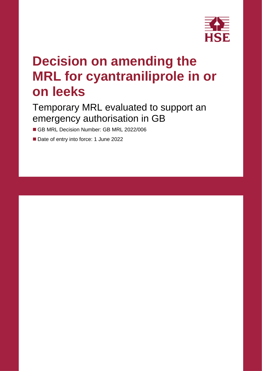

# **Decision on amending the MRL for cyantraniliprole in or on leeks**

### Temporary MRL evaluated to support an emergency authorisation in GB

- GB MRL Decision Number: GB MRL 2022/006
- Date of entry into force: 1 June 2022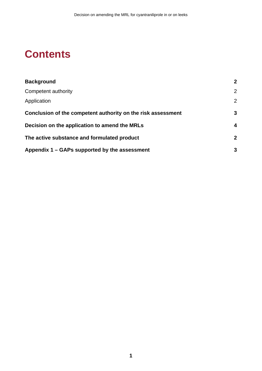### **Contents**

| <b>Background</b>                                            | $\mathbf 2$    |  |  |
|--------------------------------------------------------------|----------------|--|--|
| Competent authority                                          | $\overline{2}$ |  |  |
| Application                                                  | $\overline{2}$ |  |  |
| Conclusion of the competent authority on the risk assessment | 3              |  |  |
| Decision on the application to amend the MRLs                |                |  |  |
| The active substance and formulated product                  | $\mathbf 2$    |  |  |
| Appendix 1 – GAPs supported by the assessment                | 3              |  |  |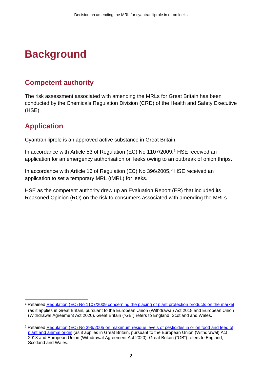## <span id="page-3-0"></span>**Background**

### <span id="page-3-1"></span>**Competent authority**

The risk assessment associated with amending the MRLs for Great Britain has been conducted by the Chemicals Regulation Division (CRD) of the Health and Safety Executive (HSE).

### <span id="page-3-2"></span>**Application**

Cyantraniliprole is an approved active substance in Great Britain.

In accordance with Article 53 of Regulation (EC) No 1107/2009, [1](#page-3-3) HSE received an application for an emergency authorisation on leeks owing to an outbreak of onion thrips.

In accordance with Article 16 of Regulation (EC) No 396/[2](#page-3-4)005,<sup>2</sup> HSE received an application to set a temporary MRL (tMRL) for leeks.

HSE as the competent authority drew up an Evaluation Report (ER) that included its Reasoned Opinion (RO) on the risk to consumers associated with amending the MRLs.

<span id="page-3-3"></span><sup>1</sup> Retained [Regulation \(EC\) No 1107/2009 concerning the placing of plant protection products on the market](https://www.legislation.gov.uk/eur/2009/1107/contents) (as it applies in Great Britain, pursuant to the European Union (Withdrawal) Act 2018 and European Union (Withdrawal Agreement Act 2020). Great Britain ("GB") refers to England, Scotland and Wales.

<span id="page-3-4"></span><sup>2</sup> Retained [Regulation \(EC\) No 396/2005 on maximum residue levels of pesticides in or on food and feed of](https://www.legislation.gov.uk/eur/2005/396/contents)  [plant and animal origin](https://www.legislation.gov.uk/eur/2005/396/contents) (as it applies in Great Britain, pursuant to the European Union (Withdrawal) Act 2018 and European Union (Withdrawal Agreement Act 2020). Great Britain ("GB") refers to England, Scotland and Wales.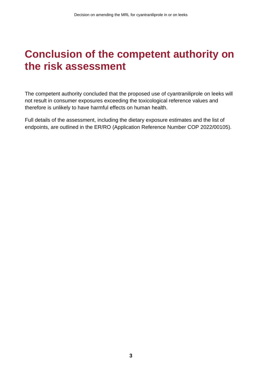### <span id="page-4-0"></span>**Conclusion of the competent authority on the risk assessment**

The competent authority concluded that the proposed use of cyantraniliprole on leeks will not result in consumer exposures exceeding the toxicological reference values and therefore is unlikely to have harmful effects on human health.

Full details of the assessment, including the dietary exposure estimates and the list of endpoints, are outlined in the ER/RO (Application Reference Number COP 2022/00105).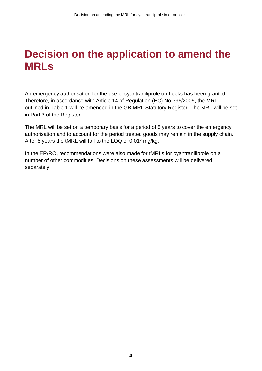## <span id="page-5-0"></span>**Decision on the application to amend the MRLs**

An emergency authorisation for the use of cyantraniliprole on Leeks has been granted. Therefore, in accordance with Article 14 of Regulation (EC) No 396/2005, the MRL outlined in Table 1 will be amended in the GB MRL Statutory Register. The MRL will be set in Part 3 of the Register.

The MRL will be set on a temporary basis for a period of 5 years to cover the emergency authorisation and to account for the period treated goods may remain in the supply chain. After 5 years the tMRL will fall to the LOQ of 0.01\* mg/kg.

In the ER/RO, recommendations were also made for tMRLs for cyantraniliprole on a number of other commodities. Decisions on these assessments will be delivered separately.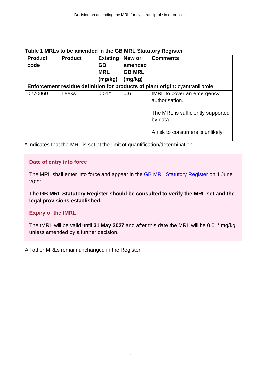| <b>Product</b> | <b>Product</b> | <b>Existing</b><br>New or |                          | <b>Comments</b>                                                               |  |  |  |  |
|----------------|----------------|---------------------------|--------------------------|-------------------------------------------------------------------------------|--|--|--|--|
| code           |                | <b>GB</b><br><b>MRL</b>   | amended<br><b>GB MRL</b> |                                                                               |  |  |  |  |
|                |                |                           |                          |                                                                               |  |  |  |  |
|                |                | (mg/kg)                   | (mg/kg)                  |                                                                               |  |  |  |  |
|                |                |                           |                          | Enforcement residue definition for products of plant origin: cyantraniliprole |  |  |  |  |
| 0270060        | Leeks          | $0.01*$                   | 0.6                      | tMRL to cover an emergency                                                    |  |  |  |  |
|                |                |                           |                          | authorisation.                                                                |  |  |  |  |
|                |                |                           |                          | The MRL is sufficiently supported                                             |  |  |  |  |
|                |                |                           |                          | by data.                                                                      |  |  |  |  |
|                |                |                           |                          | A risk to consumers is unlikely.                                              |  |  |  |  |

#### **Table 1 MRLs to be amended in the GB MRL Statutory Register**

\* Indicates that the MRL is set at the limit of quantification/determination

#### **Date of entry into force**

The MRL shall enter into force and appear in the **GB MRL Statutory Register** on 1 June 2022.

**The GB MRL Statutory Register should be consulted to verify the MRL set and the legal provisions established.** 

#### **Expiry of the tMRL**

The tMRL will be valid until **31 May 2027** and after this date the MRL will be 0.01\* mg/kg, unless amended by a further decision.

All other MRLs remain unchanged in the Register.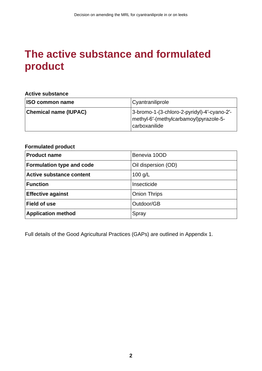### <span id="page-7-0"></span>**The active substance and formulated product**

#### **Active substance**

| <b>ISO common name</b>       | Cyantraniliprole                                                                                         |
|------------------------------|----------------------------------------------------------------------------------------------------------|
| <b>Chemical name (IUPAC)</b> | 3-bromo-1-(3-chloro-2-pyridyl)-4'-cyano-2'-<br>  methyl-6'-(methylcarbamoyl)pyrazole-5-<br>carboxanilide |

#### **Formulated product**

| <b>Product name</b>             | Benevia 10OD        |
|---------------------------------|---------------------|
| Formulation type and code       | Oil dispersion (OD) |
| <b>Active substance content</b> | $100$ g/L           |
| <b>Function</b>                 | Insecticide         |
| <b>Effective against</b>        | <b>Onion Thrips</b> |
| <b>Field of use</b>             | Outdoor/GB          |
| <b>Application method</b>       | Spray               |

Full details of the Good Agricultural Practices (GAPs) are outlined in Appendix 1.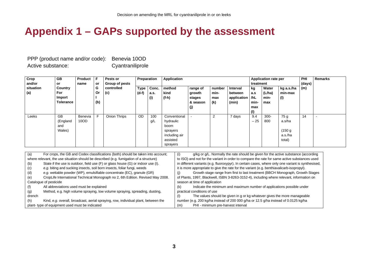### **Appendix 1 – GAPs supported by the assessment**

PPP (product name and/or code): Benevia 10OD Active substance: Cyantraniliprole

| Crop      | <b>GB</b>        | Product | F   | Pests or              | Preparation |       | Application   |          |        | <b>Application rate per</b> |       |         | PHI        | <b>Remarks</b> |  |
|-----------|------------------|---------|-----|-----------------------|-------------|-------|---------------|----------|--------|-----------------------------|-------|---------|------------|----------------|--|
| and/or    | or               | name    | or  | <b>Group of pests</b> |             |       |               |          |        | treatment                   |       |         | (days)     |                |  |
| situation | Country          |         | G   | controlled            | <b>Type</b> | Conc. | method        | range of | number | <b>Interval</b>             | kg    | Water   | kg a.s./ha | (m)            |  |
| (a)       | For              |         | Or  | (c)                   | $(d-f)$     | a.s.  | kind          | growth   | min-   | between                     | a.s   | (L/ha)  | min-max    |                |  |
|           | Import           |         |     |                       |             | (i)   | (f-h)         | stages   | max    | application                 | /hL   | min-    | (1)        |                |  |
|           | <b>Tolerance</b> |         | (b) |                       |             |       |               | & season | (k)    | (min)                       | min-  | max     |            |                |  |
|           |                  |         |     |                       |             |       |               | (j)      |        |                             | max   |         |            |                |  |
|           |                  |         |     |                       |             |       |               |          |        |                             | (1)   |         |            |                |  |
| Leeks     | GB               | Benevia |     | Onion Thrips          | <b>OD</b>   | 100   | Conventional  |          | 2      | 7 days                      | 9.4   | $300 -$ | 75 g       | 14             |  |
|           | (England         | 10OD    |     |                       |             | g/L   | hydraulic     |          |        |                             | $-25$ | 800     | a.s/ha     |                |  |
|           | and              |         |     |                       |             |       | boom          |          |        |                             |       |         |            |                |  |
|           | Wales)           |         |     |                       |             |       | sprayers      |          |        |                             |       |         | (150 g)    |                |  |
|           |                  |         |     |                       |             |       | including air |          |        |                             |       |         | a.s./ha    |                |  |
|           |                  |         |     |                       |             |       | assisted      |          |        |                             |       |         | total)     |                |  |
|           |                  |         |     |                       |             |       | sprayers      |          |        |                             |       |         |            |                |  |

<span id="page-8-0"></span>

| (a)    | For crops, the GB and Codex classifications (both) should be taken into account;       | g/kg or g/L. Normally the rate should be given for the active substance (according<br>(i)          |  |  |  |  |  |  |
|--------|----------------------------------------------------------------------------------------|----------------------------------------------------------------------------------------------------|--|--|--|--|--|--|
|        | where relevant, the use situation should be described (e.g. fumigation of a structure) | to ISO) and not for the variant in order to compare the rate for same active substances used       |  |  |  |  |  |  |
| (b)    | State if the use is outdoor, field use (F) or glass house (G) or indoor use (I).       | in different variants (e.g. fluoroxypyr). In certain cases, where only one variant is synthesised, |  |  |  |  |  |  |
| (c)    | e.g. biting and sucking insects, soil born insects, foliar fungi, weeds                | it is more appropriate to give the rate for the variant (e.g. benthiavalicarb-isopropyl).          |  |  |  |  |  |  |
| (d)    | e.g. wettable powder (WP), emulsifiable concentrate (EC), granule (GR)                 | Growth stage range from first to last treatment (BBCH Monograph, Growth Stages<br>(i)              |  |  |  |  |  |  |
| (e)    | CropLife International Technical Monograph no 2, 6th Edition. Revised May 2008.        | of Plants, 1997, Blackwell, ISBN 3-8263-3152-4), including where relevant, information on          |  |  |  |  |  |  |
|        | Catalogue of pesticide                                                                 | season at time of application                                                                      |  |  |  |  |  |  |
| (f)    | All abbreviations used must be explained                                               | Indicate the minimum and maximum number of applications possible under<br>(k)                      |  |  |  |  |  |  |
| (g)    | Method, e.g. high volume spraying, low volume spraying, spreading, dusting,            | practical conditions of use                                                                        |  |  |  |  |  |  |
| drench |                                                                                        | The values should be given in g or kg whatever gives the more manageable<br>(1)                    |  |  |  |  |  |  |
| (h)    | Kind, e.g. overall, broadcast, aerial spraying, row, individual plant, between the     | number (e.g. 200 kg/ha instead of 200 000 g/ha or 12.5 g/ha instead of 0.0125 kg/ha                |  |  |  |  |  |  |
|        | plant-type of equipment used must be indicated                                         | PHI - minimum pre-harvest interval<br>(m)                                                          |  |  |  |  |  |  |